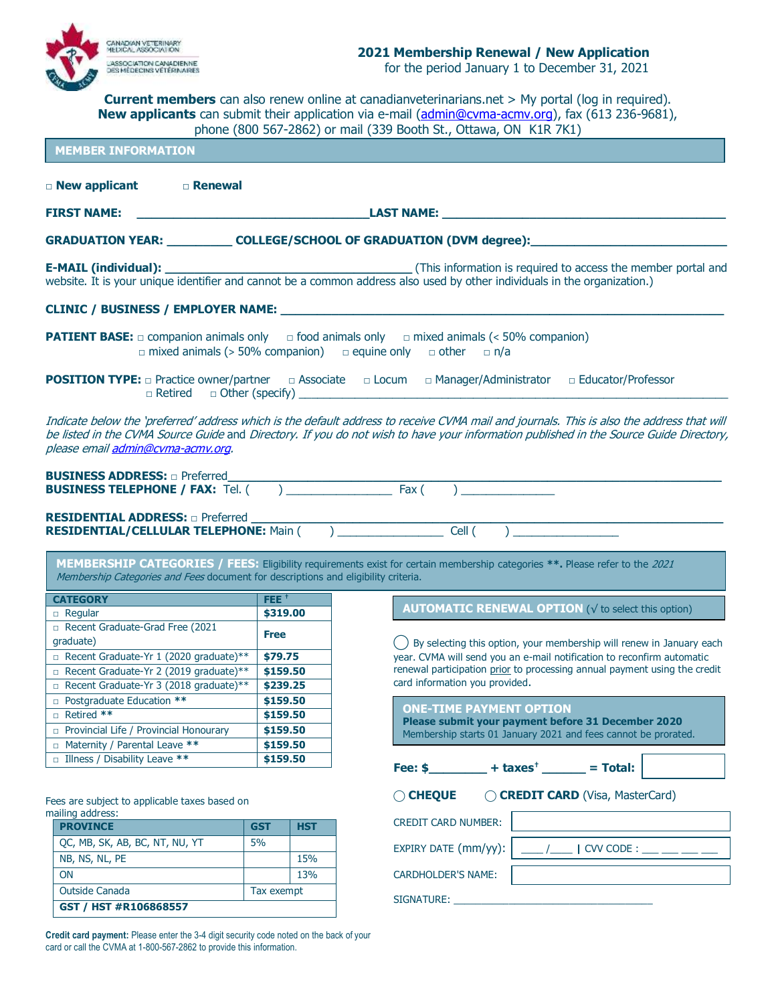

**Current members** can also renew online at canadianveterinarians.net > My portal (log in required). **New applicants** can submit their application via e-mail [\(admin@cvma-acmv.org\)](mailto:admin@cvma-acmv.org), fax (613 236-9681), phone (800 567-2862) or mail (339 Booth St., Ottawa, ON K1R 7K1)

| <b>MEMBER INFORMATION</b>                                                                 |                                                                                                  |            | phone (800 56/-2862) or mail (339 Booth St., Ottawa, ON KIR /KI)                                                                                                                                                                                                                    |  |  |  |  |
|-------------------------------------------------------------------------------------------|--------------------------------------------------------------------------------------------------|------------|-------------------------------------------------------------------------------------------------------------------------------------------------------------------------------------------------------------------------------------------------------------------------------------|--|--|--|--|
| □ New applicant<br>□ Renewal                                                              |                                                                                                  |            |                                                                                                                                                                                                                                                                                     |  |  |  |  |
|                                                                                           |                                                                                                  |            |                                                                                                                                                                                                                                                                                     |  |  |  |  |
| <u> 1989 - Johann Stein, mars an deus Amerikaansk kommunister (</u><br><b>FIRST NAME:</b> |                                                                                                  |            |                                                                                                                                                                                                                                                                                     |  |  |  |  |
|                                                                                           |                                                                                                  |            | GRADUATION YEAR: ____________ COLLEGE/SCHOOL OF GRADUATION (DVM degree):_________                                                                                                                                                                                                   |  |  |  |  |
|                                                                                           |                                                                                                  |            |                                                                                                                                                                                                                                                                                     |  |  |  |  |
| <b>CLINIC / BUSINESS / EMPLOYER NAME:</b> NAME:                                           |                                                                                                  |            |                                                                                                                                                                                                                                                                                     |  |  |  |  |
|                                                                                           |                                                                                                  |            | <b>PATIENT BASE:</b> $\Box$ companion animals only $\Box$ food animals only $\Box$ mixed animals (< 50% companion)<br>$\Box$ mixed animals (> 50% companion) $\Box$ equine only $\Box$ other $\Box$ n/a                                                                             |  |  |  |  |
| $\Box$ Retired $\Box$ Other (specify)                                                     |                                                                                                  |            | <b>POSITION TYPE:</b> practice owner/partner production by Locum production productor/Professor                                                                                                                                                                                     |  |  |  |  |
| please email admin@cvma-acmv.org.<br><b>BUSINESS ADDRESS: a Preferred</b>                 |                                                                                                  |            | Indicate below the 'preferred' address which is the default address to receive CVMA mail and journals. This is also the address that will<br>be listed in the CVMA Source Guide and Directory. If you do not wish to have your information published in the Source Guide Directory, |  |  |  |  |
| <b>RESIDENTIAL ADDRESS:</b> a Preferred <b>Main (and Transform Telephone:</b> Main (and ) |                                                                                                  |            | $Cell$ $)$                                                                                                                                                                                                                                                                          |  |  |  |  |
| Membership Categories and Fees document for descriptions and eligibility criteria.        |                                                                                                  |            | MEMBERSHIP CATEGORIES / FEES: Eligibility requirements exist for certain membership categories **. Please refer to the 2021                                                                                                                                                         |  |  |  |  |
| <b>CATEGORY</b>                                                                           | $FEE^+$                                                                                          |            |                                                                                                                                                                                                                                                                                     |  |  |  |  |
| $\Box$ Regular                                                                            | \$319.00                                                                                         |            | <b>AUTOMATIC RENEWAL OPTION (<math>\sqrt{}</math> to select this option)</b>                                                                                                                                                                                                        |  |  |  |  |
| Recent Graduate-Grad Free (2021                                                           |                                                                                                  |            |                                                                                                                                                                                                                                                                                     |  |  |  |  |
| graduate)                                                                                 | <b>Free</b><br>() By selecting this option, your membership will renew in January each           |            |                                                                                                                                                                                                                                                                                     |  |  |  |  |
| Recent Graduate-Yr 1 (2020 graduate)**                                                    | \$79.75                                                                                          |            | year. CVMA will send you an e-mail notification to reconfirm automatic                                                                                                                                                                                                              |  |  |  |  |
| Recent Graduate-Yr 2 (2019 graduate)**                                                    | \$159.50                                                                                         |            | renewal participation prior to processing annual payment using the credit                                                                                                                                                                                                           |  |  |  |  |
| Recent Graduate-Yr 3 (2018 graduate)**                                                    | \$239.25                                                                                         |            | card information you provided.                                                                                                                                                                                                                                                      |  |  |  |  |
| D Postgraduate Education **                                                               |                                                                                                  | \$159.50   |                                                                                                                                                                                                                                                                                     |  |  |  |  |
| Retired **                                                                                | <b>ONE-TIME PAYMENT OPTION</b><br>\$159.50<br>Please submit your payment before 31 December 2020 |            |                                                                                                                                                                                                                                                                                     |  |  |  |  |
| Provincial Life / Provincial Honourary                                                    | \$159.50<br>Membership starts 01 January 2021 and fees cannot be prorated.                       |            |                                                                                                                                                                                                                                                                                     |  |  |  |  |
| □ Maternity / Parental Leave **                                                           | \$159.50                                                                                         |            |                                                                                                                                                                                                                                                                                     |  |  |  |  |
| $\Box$ Illness / Disability Leave **                                                      | \$159.50                                                                                         |            | Fee: $$$ + taxes <sup>†</sup> ______ = Total:                                                                                                                                                                                                                                       |  |  |  |  |
| Fees are subject to applicable taxes based on<br>mailing address:                         |                                                                                                  |            | C CREDIT CARD (Visa, MasterCard)<br>◯ CHEQUE                                                                                                                                                                                                                                        |  |  |  |  |
| <b>PROVINCE</b>                                                                           | <b>GST</b>                                                                                       | <b>HST</b> | <b>CREDIT CARD NUMBER:</b>                                                                                                                                                                                                                                                          |  |  |  |  |
| QC, MB, SK, AB, BC, NT, NU, YT                                                            | 5%                                                                                               |            |                                                                                                                                                                                                                                                                                     |  |  |  |  |
| NB, NS, NL, PE                                                                            |                                                                                                  | 15%        | EXPIRY DATE (mm/yy):<br>$/$   CVV CODE : $\_\_$                                                                                                                                                                                                                                     |  |  |  |  |
| <b>ON</b>                                                                                 |                                                                                                  | 13%        | <b>CARDHOLDER'S NAME:</b>                                                                                                                                                                                                                                                           |  |  |  |  |
|                                                                                           |                                                                                                  |            |                                                                                                                                                                                                                                                                                     |  |  |  |  |

SIGNATURE: \_\_\_\_\_\_\_\_\_\_\_\_\_\_\_\_\_\_\_\_\_\_\_\_\_\_\_\_\_\_\_\_\_\_\_\_

**Credit card payment:** Please enter the 3-4 digit security code noted on the back of your card or call the CVMA at 1-800-567-2862 to provide this information.

Outside Canada Tax exempt

**GST / HST #R106868557**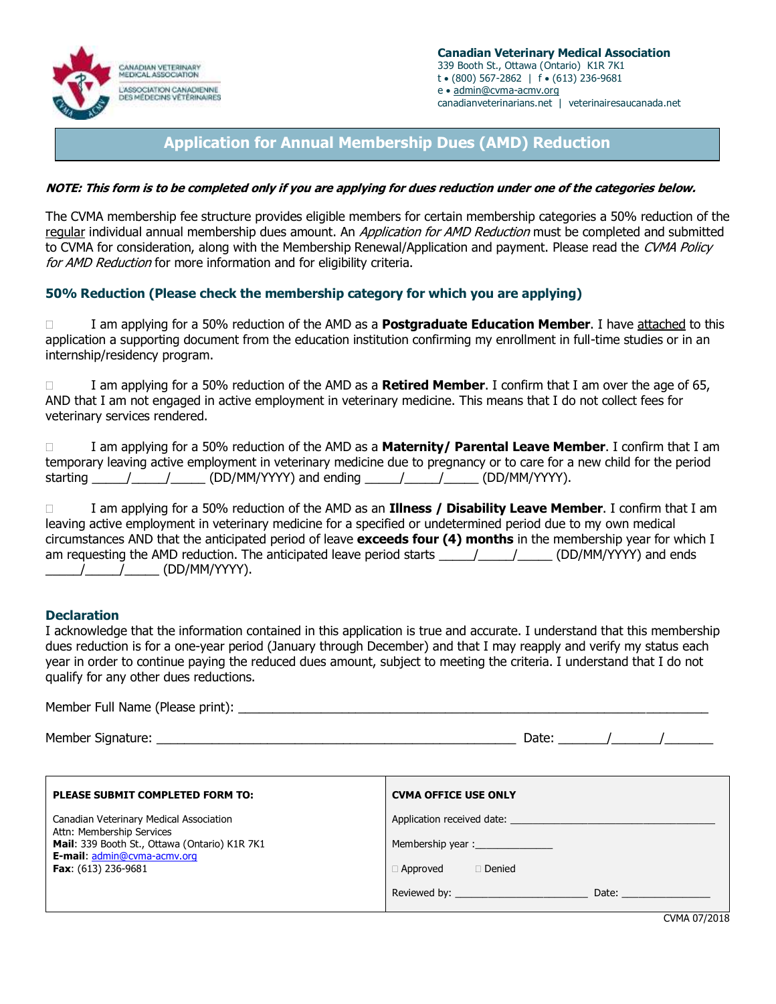

# **Application for Annual Membership Dues (AMD) Reduction**

### **NOTE: This form is to be completed only if you are applying for dues reduction under one of the categories below.**

The CVMA membership fee structure provides eligible members for certain membership categories a 50% reduction of the regular individual annual membership dues amount. An *Application for AMD Reduction* must be completed and submitted to CVMA for consideration, along with the Membership Renewal/Application and payment. Please read the CVMA Policy for AMD Reduction for more information and for eligibility criteria.

## **50% Reduction (Please check the membership category for which you are applying)**

 I am applying for a 50% reduction of the AMD as a **Postgraduate Education Member**. I have attached to this application a supporting document from the education institution confirming my enrollment in full-time studies or in an internship/residency program.

 I am applying for a 50% reduction of the AMD as a **Retired Member**. I confirm that I am over the age of 65, AND that I am not engaged in active employment in veterinary medicine. This means that I do not collect fees for veterinary services rendered.

|          |  |                         |  |               | I am applying for a 50% reduction of the AMD as a <b>Maternity/ Parental Leave Member</b> . I confirm that I am       |  |
|----------|--|-------------------------|--|---------------|-----------------------------------------------------------------------------------------------------------------------|--|
|          |  |                         |  |               | temporary leaving active employment in veterinary medicine due to pregnancy or to care for a new child for the period |  |
| starting |  | (DD/MM/YYYY) and ending |  | (DD/MM/YYYY). |                                                                                                                       |  |

 I am applying for a 50% reduction of the AMD as an **Illness / Disability Leave Member**. I confirm that I am leaving active employment in veterinary medicine for a specified or undetermined period due to my own medical circumstances AND that the anticipated period of leave **exceeds four (4) months** in the membership year for which I am requesting the AMD reduction. The anticipated leave period starts \_\_\_\_\_\_\_\_\_\_\_\_\_\_\_\_\_\_\_\_ (DD/MM/YYYY) and ends  $\frac{1}{2}$  (DD/MM/YYYY).

### **Declaration**

I acknowledge that the information contained in this application is true and accurate. I understand that this membership dues reduction is for a one-year period (January through December) and that I may reapply and verify my status each year in order to continue paying the reduced dues amount, subject to meeting the criteria. I understand that I do not qualify for any other dues reductions.

| Member Full Name (Please print): |  |  |
|----------------------------------|--|--|
|----------------------------------|--|--|

Member Signature: \_\_\_\_\_\_\_\_\_\_\_\_\_\_\_\_\_\_\_\_\_\_\_\_\_\_\_\_\_\_\_\_\_\_\_\_\_\_\_\_\_\_\_\_\_\_\_\_\_\_\_\_ Date: \_\_\_\_\_\_\_/\_\_\_\_\_\_\_/\_\_\_\_\_\_\_

| Application received date: Application received date:<br>Canadian Veterinary Medical Association<br>Attn: Membership Services<br>Mail: 339 Booth St., Ottawa (Ontario) K1R 7K1<br><b>E-mail: admin@cvma-acmv.org</b><br><b>Fax:</b> $(613)$ 236-9681<br>$\Box$ Denied<br>$\Box$ Approved<br>Date: <u>_________</u> | PLEASE SUBMIT COMPLETED FORM TO: | <b>CVMA OFFICE USE ONLY</b>   |
|--------------------------------------------------------------------------------------------------------------------------------------------------------------------------------------------------------------------------------------------------------------------------------------------------------------------|----------------------------------|-------------------------------|
|                                                                                                                                                                                                                                                                                                                    |                                  | $C1$ $B1$ $A2$ $C3$ $C4$ $C5$ |

CVMA 07/2018